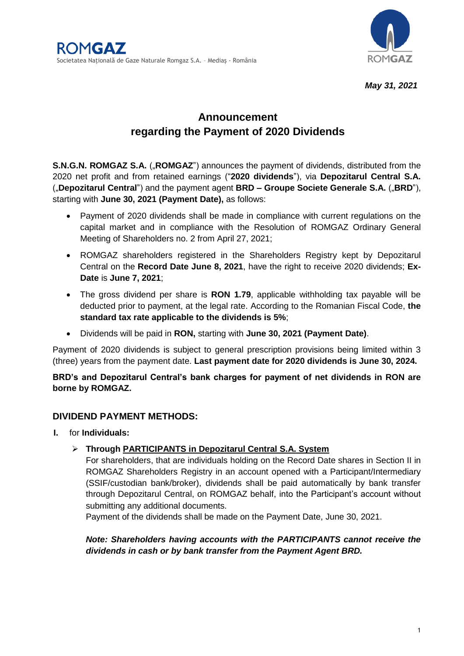

*May 31, 2021*

# **Announcement regarding the Payment of 2020 Dividends**

**S.N.G.N. ROMGAZ S.A.** ("ROMGAZ") announces the payment of dividends, distributed from the 2020 net profit and from retained earnings ("**2020 dividends**"), via **Depozitarul Central S.A.** ("**Depozitarul Central**") and the payment agent **BRD – Groupe Societe Generale S.A.** ("**BRD**"), starting with **June 30, 2021 (Payment Date),** as follows:

- Payment of 2020 dividends shall be made in compliance with current regulations on the capital market and in compliance with the Resolution of ROMGAZ Ordinary General Meeting of Shareholders no. 2 from April 27, 2021;
- ROMGAZ shareholders registered in the Shareholders Registry kept by Depozitarul Central on the **Record Date June 8, 2021**, have the right to receive 2020 dividends; **Ex-Date** is **June 7, 2021**;
- The gross dividend per share is **RON 1.79**, applicable withholding tax payable will be deducted prior to payment, at the legal rate. According to the Romanian Fiscal Code, **the standard tax rate applicable to the dividends is 5%**;
- Dividends will be paid in **RON,** starting with **June 30, 2021 (Payment Date)**.

Payment of 2020 dividends is subject to general prescription provisions being limited within 3 (three) years from the payment date. **Last payment date for 2020 dividends is June 30, 2024.**

**BRD's and Depozitarul Central's bank charges for payment of net dividends in RON are borne by ROMGAZ.**

# **DIVIDEND PAYMENT METHODS:**

- **I.** for **Individuals:**
	- **Through PARTICIPANTS in Depozitarul Central S.A. System**

For shareholders, that are individuals holding on the Record Date shares in Section II in ROMGAZ Shareholders Registry in an account opened with a Participant/Intermediary (SSIF/custodian bank/broker), dividends shall be paid automatically by bank transfer through Depozitarul Central, on ROMGAZ behalf, into the Participant's account without submitting any additional documents.

Payment of the dividends shall be made on the Payment Date, June 30, 2021.

*Note: Shareholders having accounts with the PARTICIPANTS cannot receive the dividends in cash or by bank transfer from the Payment Agent BRD.*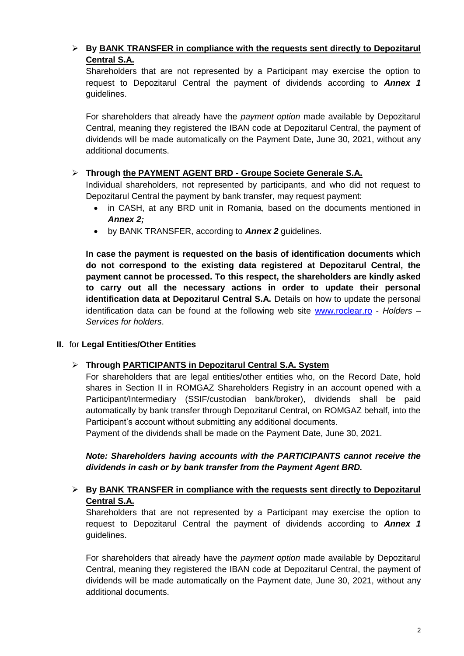# **By BANK TRANSFER in compliance with the requests sent directly to Depozitarul Central S.A.**

Shareholders that are not represented by a Participant may exercise the option to request to Depozitarul Central the payment of dividends according to *Annex 1* guidelines.

For shareholders that already have the *payment option* made available by Depozitarul Central, meaning they registered the IBAN code at Depozitarul Central, the payment of dividends will be made automatically on the Payment Date, June 30, 2021, without any additional documents.

# **Through the PAYMENT AGENT BRD - Groupe Societe Generale S.A.**

Individual shareholders, not represented by participants, and who did not request to Depozitarul Central the payment by bank transfer, may request payment:

- in CASH, at any BRD unit in Romania, based on the documents mentioned in *Annex 2;*
- by BANK TRANSFER, according to *Annex 2* guidelines.

**In case the payment is requested on the basis of identification documents which do not correspond to the existing data registered at Depozitarul Central, the payment cannot be processed. To this respect, the shareholders are kindly asked to carry out all the necessary actions in order to update their personal identification data at Depozitarul Central S.A.** Details on how to update the personal identification data can be found at the following web site [www.roclear.ro](http://www.roclear.ro/) - *Holders – Services for holders*.

## **II.** for **Legal Entities/Other Entities**

## **Through PARTICIPANTS in Depozitarul Central S.A. System**

For shareholders that are legal entities/other entities who, on the Record Date, hold shares in Section II in ROMGAZ Shareholders Registry in an account opened with a Participant/Intermediary (SSIF/custodian bank/broker), dividends shall be paid automatically by bank transfer through Depozitarul Central, on ROMGAZ behalf, into the Participant's account without submitting any additional documents.

Payment of the dividends shall be made on the Payment Date, June 30, 2021.

*Note: Shareholders having accounts with the PARTICIPANTS cannot receive the dividends in cash or by bank transfer from the Payment Agent BRD.* 

# **By BANK TRANSFER in compliance with the requests sent directly to Depozitarul Central S.A.**

Shareholders that are not represented by a Participant may exercise the option to request to Depozitarul Central the payment of dividends according to *Annex 1* guidelines.

For shareholders that already have the *payment option* made available by Depozitarul Central, meaning they registered the IBAN code at Depozitarul Central, the payment of dividends will be made automatically on the Payment date, June 30, 2021, without any additional documents.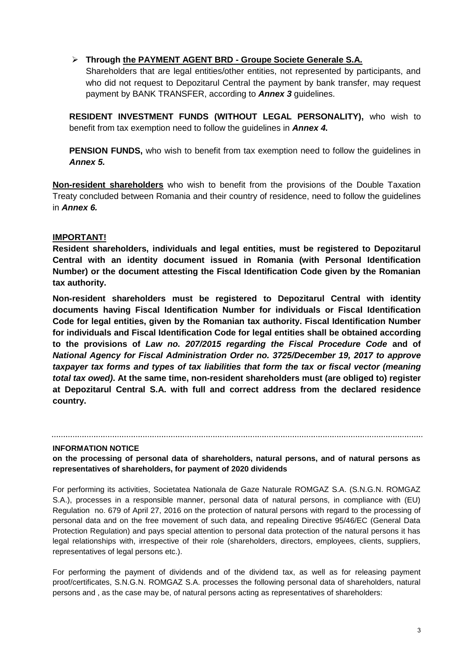#### **Through the PAYMENT AGENT BRD - Groupe Societe Generale S.A.**

Shareholders that are legal entities/other entities, not represented by participants, and who did not request to Depozitarul Central the payment by bank transfer, may request payment by BANK TRANSFER, according to *Annex 3* guidelines.

**RESIDENT INVESTMENT FUNDS (WITHOUT LEGAL PERSONALITY),** who wish to benefit from tax exemption need to follow the guidelines in *Annex 4.*

**PENSION FUNDS,** who wish to benefit from tax exemption need to follow the quidelines in *Annex 5.*

**Non-resident shareholders** who wish to benefit from the provisions of the Double Taxation Treaty concluded between Romania and their country of residence, need to follow the guidelines in *Annex 6.*

#### **IMPORTANT!**

**Resident shareholders, individuals and legal entities, must be registered to Depozitarul Central with an identity document issued in Romania (with Personal Identification Number) or the document attesting the Fiscal Identification Code given by the Romanian tax authority.**

**Non-resident shareholders must be registered to Depozitarul Central with identity documents having Fiscal Identification Number for individuals or Fiscal Identification Code for legal entities, given by the Romanian tax authority. Fiscal Identification Number for individuals and Fiscal Identification Code for legal entities shall be obtained according to the provisions of** *Law no. 207/2015 regarding the Fiscal Procedure Code* **and of**  *National Agency for Fiscal Administration Order no. 3725/December 19, 2017 to approve taxpayer tax forms and types of tax liabilities that form the tax or fiscal vector (meaning total tax owed)***. At the same time, non-resident shareholders must (are obliged to) register at Depozitarul Central S.A. with full and correct address from the declared residence country.**

#### **INFORMATION NOTICE**

**on the processing of personal data of shareholders, natural persons, and of natural persons as representatives of shareholders, for payment of 2020 dividends**

For performing its activities, Societatea Nationala de Gaze Naturale ROMGAZ S.A. (S.N.G.N. ROMGAZ S.A.), processes in a responsible manner, personal data of natural persons, in compliance with (EU) Regulation no. 679 of April 27, 2016 on the protection of natural persons with regard to the processing of personal data and on the free movement of such data, and repealing Directive 95/46/EC (General Data Protection Regulation) and pays special attention to personal data protection of the natural persons it has legal relationships with, irrespective of their role (shareholders, directors, employees, clients, suppliers, representatives of legal persons etc.).

For performing the payment of dividends and of the dividend tax, as well as for releasing payment proof/certificates, S.N.G.N. ROMGAZ S.A. processes the following personal data of shareholders, natural persons and , as the case may be, of natural persons acting as representatives of shareholders: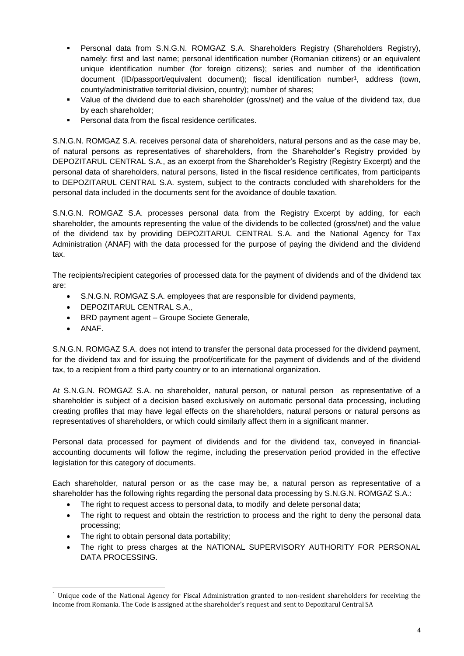- Personal data from S.N.G.N. ROMGAZ S.A. Shareholders Registry (Shareholders Registry), namely: first and last name; personal identification number (Romanian citizens) or an equivalent unique identification number (for foreign citizens); series and number of the identification document (ID/passport/equivalent document); fiscal identification number<sup>1</sup> , address (town, county/administrative territorial division, country); number of shares;
- Value of the dividend due to each shareholder (gross/net) and the value of the dividend tax, due by each shareholder;
- Personal data from the fiscal residence certificates.

S.N.G.N. ROMGAZ S.A. receives personal data of shareholders, natural persons and as the case may be, of natural persons as representatives of shareholders, from the Shareholder's Registry provided by DEPOZITARUL CENTRAL S.A., as an excerpt from the Shareholder's Registry (Registry Excerpt) and the personal data of shareholders, natural persons, listed in the fiscal residence certificates, from participants to DEPOZITARUL CENTRAL S.A. system, subject to the contracts concluded with shareholders for the personal data included in the documents sent for the avoidance of double taxation.

S.N.G.N. ROMGAZ S.A. processes personal data from the Registry Excerpt by adding, for each shareholder, the amounts representing the value of the dividends to be collected (gross/net) and the value of the dividend tax by providing DEPOZITARUL CENTRAL S.A. and the National Agency for Tax Administration (ANAF) with the data processed for the purpose of paying the dividend and the dividend tax.

The recipients/recipient categories of processed data for the payment of dividends and of the dividend tax are:

- S.N.G.N. ROMGAZ S.A. employees that are responsible for dividend payments,
- DEPOZITARUL CENTRAL S.A.,
- BRD payment agent Groupe Societe Generale,
- ANAF.

 $\overline{a}$ 

S.N.G.N. ROMGAZ S.A. does not intend to transfer the personal data processed for the dividend payment, for the dividend tax and for issuing the proof/certificate for the payment of dividends and of the dividend tax, to a recipient from a third party country or to an international organization.

At S.N.G.N. ROMGAZ S.A. no shareholder, natural person, or natural person as representative of a shareholder is subject of a decision based exclusively on automatic personal data processing, including creating profiles that may have legal effects on the shareholders, natural persons or natural persons as representatives of shareholders, or which could similarly affect them in a significant manner.

Personal data processed for payment of dividends and for the dividend tax, conveyed in financialaccounting documents will follow the regime, including the preservation period provided in the effective legislation for this category of documents.

Each shareholder, natural person or as the case may be, a natural person as representative of a shareholder has the following rights regarding the personal data processing by S.N.G.N. ROMGAZ S.A.:

- The right to request access to personal data, to modify and delete personal data;
- The right to request and obtain the restriction to process and the right to deny the personal data processing;
- The right to obtain personal data portability;
- The right to press charges at the NATIONAL SUPERVISORY AUTHORITY FOR PERSONAL DATA PROCESSING.

 $1$  Unique code of the National Agency for Fiscal Administration granted to non-resident shareholders for receiving the income from Romania. The Code is assigned at the shareholder's request and sent to Depozitarul Central SA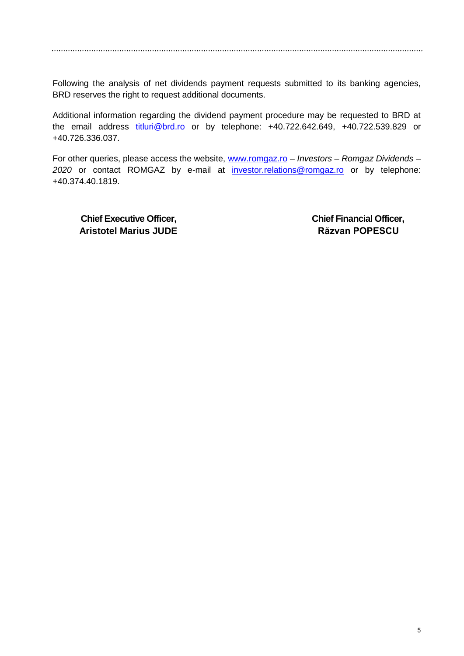Following the analysis of net dividends payment requests submitted to its banking agencies, BRD reserves the right to request additional documents.

Additional information regarding the dividend payment procedure may be requested to BRD at the email address [titluri@brd.ro](mailto:titluri@brd.ro) or by telephone: +40.722.642.649, +40.722.539.829 or +40.726.336.037.

For other queries, please access the website, [www.romgaz.ro](http://www.romgaz.ro/) – *Investors – Romgaz Dividends –* 2020 or contact ROMGAZ by e-mail at *[investor.relations@romgaz.ro](mailto:investor.relations@romgaz.ro)* or by telephone: +40.374.40.1819.

**Chief Executive Officer, Chief Financial Officer, Aristotel Marius JUDE Aristotel Marius JUDE**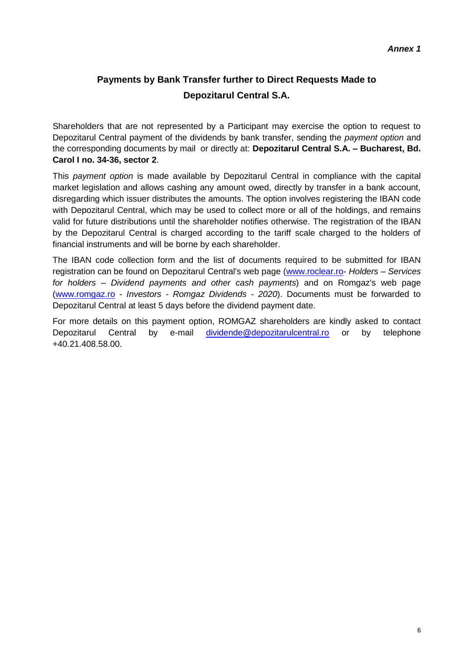# **Payments by Bank Transfer further to Direct Requests Made to Depozitarul Central S.A.**

Shareholders that are not represented by a Participant may exercise the option to request to Depozitarul Central payment of the dividends by bank transfer, sending the *payment option* and the corresponding documents by mail or directly at: **Depozitarul Central S.A. – Bucharest, Bd. Carol I no. 34-36, sector 2**.

This *payment option* is made available by Depozitarul Central in compliance with the capital market legislation and allows cashing any amount owed, directly by transfer in a bank account, disregarding which issuer distributes the amounts. The option involves registering the IBAN code with Depozitarul Central, which may be used to collect more or all of the holdings, and remains valid for future distributions until the shareholder notifies otherwise. The registration of the IBAN by the Depozitarul Central is charged according to the tariff scale charged to the holders of financial instruments and will be borne by each shareholder.

The IBAN code collection form and the list of documents required to be submitted for IBAN registration can be found on Depozitarul Central's web page [\(www.roclear.ro-](http://www.roclear.ro/) *Holders – Services for holders – Dividend payments and other cash payments*) and on Romgaz's web page (www.romgaz.ro - *Investors - Romgaz Dividends - 2020*). Documents must be forwarded to Depozitarul Central at least 5 days before the dividend payment date.

For more details on this payment option, ROMGAZ shareholders are kindly asked to contact Depozitarul Central by e-mail [dividende@depozitarulcentral.ro](mailto:dividende@depozitarulcentral.ro) or by telephone +40.21.408.58.00.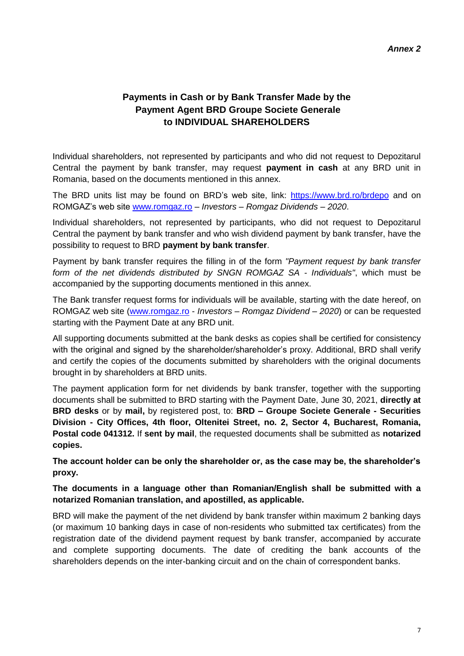# **Payments in Cash or by Bank Transfer Made by the Payment Agent BRD Groupe Societe Generale to INDIVIDUAL SHAREHOLDERS**

Individual shareholders, not represented by participants and who did not request to Depozitarul Central the payment by bank transfer, may request **payment in cash** at any BRD unit in Romania, based on the documents mentioned in this annex.

The BRD units list may be found on BRD's web site, link: <https://www.brd.ro/brdepo> and on ROMGAZ's web site [www.romgaz.ro](http://www.romgaz.ro/) – *Investors – Romgaz Dividends – 2020*.

Individual shareholders, not represented by participants, who did not request to Depozitarul Central the payment by bank transfer and who wish dividend payment by bank transfer, have the possibility to request to BRD **payment by bank transfer**.

Payment by bank transfer requires the filling in of the form *"Payment request by bank transfer form of the net dividends distributed by SNGN ROMGAZ SA - Individuals"*, which must be accompanied by the supporting documents mentioned in this annex.

The Bank transfer request forms for individuals will be available, starting with the date hereof, on ROMGAZ web site [\(www.romgaz.ro](http://www.romgaz.ro/) - *Investors – Romgaz Dividend – 2020*) or can be requested starting with the Payment Date at any BRD unit.

All supporting documents submitted at the bank desks as copies shall be certified for consistency with the original and signed by the shareholder/shareholder's proxy. Additional, BRD shall verify and certify the copies of the documents submitted by shareholders with the original documents brought in by shareholders at BRD units.

The payment application form for net dividends by bank transfer, together with the supporting documents shall be submitted to BRD starting with the Payment Date, June 30, 2021, **directly at BRD desks** or by **mail,** by registered post, to: **BRD – Groupe Societe Generale - Securities Division - City Offices, 4th floor, Oltenitei Street, no. 2, Sector 4, Bucharest, Romania, Postal code 041312.** If **sent by mail**, the requested documents shall be submitted as **notarized copies.**

**The account holder can be only the shareholder or, as the case may be, the shareholder's proxy.**

#### **The documents in a language other than Romanian/English shall be submitted with a notarized Romanian translation, and apostilled, as applicable.**

BRD will make the payment of the net dividend by bank transfer within maximum 2 banking days (or maximum 10 banking days in case of non-residents who submitted tax certificates) from the registration date of the dividend payment request by bank transfer, accompanied by accurate and complete supporting documents. The date of crediting the bank accounts of the shareholders depends on the inter-banking circuit and on the chain of correspondent banks.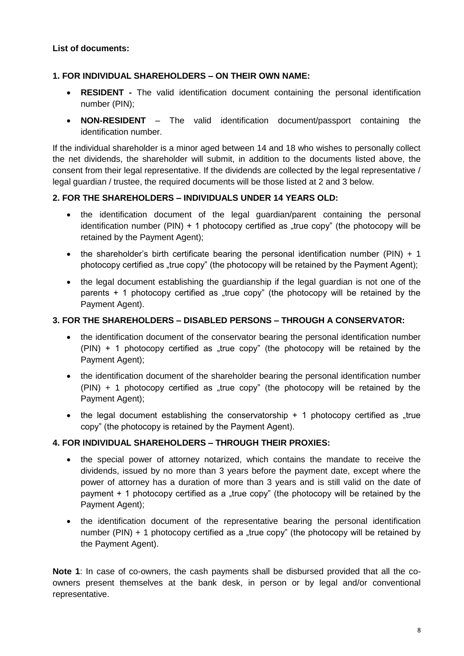#### **List of documents:**

#### **1. FOR INDIVIDUAL SHAREHOLDERS – ON THEIR OWN NAME:**

- **RESIDENT -** The valid identification document containing the personal identification number (PIN);
- **NON-RESIDENT**  The valid identification document/passport containing the identification number.

If the individual shareholder is a minor aged between 14 and 18 who wishes to personally collect the net dividends, the shareholder will submit, in addition to the documents listed above, the consent from their legal representative. If the dividends are collected by the legal representative / legal guardian / trustee, the required documents will be those listed at 2 and 3 below.

#### **2. FOR THE SHAREHOLDERS – INDIVIDUALS UNDER 14 YEARS OLD:**

- the identification document of the legal guardian/parent containing the personal identification number (PIN) + 1 photocopy certified as "true copy" (the photocopy will be retained by the Payment Agent);
- the shareholder's birth certificate bearing the personal identification number (PIN)  $+1$ photocopy certified as "true copy" (the photocopy will be retained by the Payment Agent);
- the legal document establishing the guardianship if the legal guardian is not one of the parents  $+$  1 photocopy certified as "true copy" (the photocopy will be retained by the Payment Agent).

#### **3. FOR THE SHAREHOLDERS – DISABLED PERSONS – THROUGH A CONSERVATOR:**

- the identification document of the conservator bearing the personal identification number  $(PIN) + 1$  photocopy certified as "true copy" (the photocopy will be retained by the Payment Agent);
- the identification document of the shareholder bearing the personal identification number  $(PIN) + 1$  photocopy certified as "true copy" (the photocopy will be retained by the Payment Agent);
- the legal document establishing the conservatorship  $+$  1 photocopy certified as  $\alpha$ true copy" (the photocopy is retained by the Payment Agent).

## **4. FOR INDIVIDUAL SHAREHOLDERS – THROUGH THEIR PROXIES:**

- the special power of attorney notarized, which contains the mandate to receive the dividends, issued by no more than 3 years before the payment date, except where the power of attorney has a duration of more than 3 years and is still valid on the date of payment  $+$  1 photocopy certified as a "true copy" (the photocopy will be retained by the Payment Agent);
- the identification document of the representative bearing the personal identification number (PIN) + 1 photocopy certified as a "true copy" (the photocopy will be retained by the Payment Agent).

**Note 1**: In case of co-owners, the cash payments shall be disbursed provided that all the coowners present themselves at the bank desk, in person or by legal and/or conventional representative.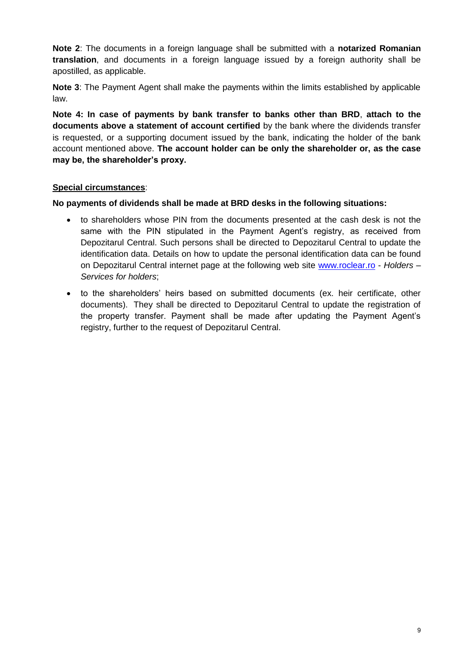**Note 2**: The documents in a foreign language shall be submitted with a **notarized Romanian translation**, and documents in a foreign language issued by a foreign authority shall be apostilled, as applicable.

**Note 3**: The Payment Agent shall make the payments within the limits established by applicable law.

**Note 4: In case of payments by bank transfer to banks other than BRD**, **attach to the documents above a statement of account certified** by the bank where the dividends transfer is requested, or a supporting document issued by the bank, indicating the holder of the bank account mentioned above. **The account holder can be only the shareholder or, as the case may be, the shareholder's proxy.**

## **Special circumstances**:

**No payments of dividends shall be made at BRD desks in the following situations:**

- to shareholders whose PIN from the documents presented at the cash desk is not the same with the PIN stipulated in the Payment Agent's registry, as received from Depozitarul Central. Such persons shall be directed to Depozitarul Central to update the identification data. Details on how to update the personal identification data can be found on Depozitarul Central internet page at the following web site [www.roclear.ro](http://www.roclear.ro/) - *Holders – Services for holders*;
- to the shareholders' heirs based on submitted documents (ex. heir certificate, other documents). They shall be directed to Depozitarul Central to update the registration of the property transfer. Payment shall be made after updating the Payment Agent's registry, further to the request of Depozitarul Central.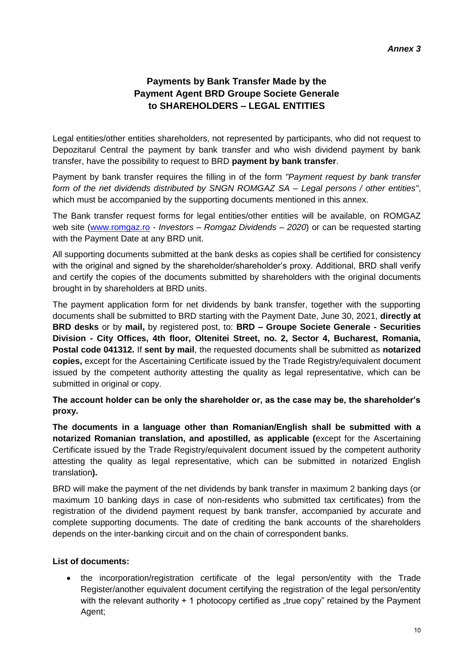# **Payments by Bank Transfer Made by the Payment Agent BRD Groupe Societe Generale to SHAREHOLDERS – LEGAL ENTITIES**

Legal entities/other entities shareholders, not represented by participants, who did not request to Depozitarul Central the payment by bank transfer and who wish dividend payment by bank transfer, have the possibility to request to BRD **payment by bank transfer**.

Payment by bank transfer requires the filling in of the form *"Payment request by bank transfer form of the net dividends distributed by SNGN ROMGAZ SA – Legal persons / other entities"*, which must be accompanied by the supporting documents mentioned in this annex.

The Bank transfer request forms for legal entities/other entities will be available, on ROMGAZ web site [\(www.romgaz.ro](http://www.romgaz.ro/) - *Investors – Romgaz Dividends – 2020*) or can be requested starting with the Payment Date at any BRD unit.

All supporting documents submitted at the bank desks as copies shall be certified for consistency with the original and signed by the shareholder/shareholder's proxy. Additional, BRD shall verify and certify the copies of the documents submitted by shareholders with the original documents brought in by shareholders at BRD units.

The payment application form for net dividends by bank transfer, together with the supporting documents shall be submitted to BRD starting with the Payment Date, June 30, 2021, **directly at BRD desks** or by **mail,** by registered post, to: **BRD – Groupe Societe Generale - Securities Division - City Offices, 4th floor, Oltenitei Street, no. 2, Sector 4, Bucharest, Romania, Postal code 041312.** If **sent by mail**, the requested documents shall be submitted as **notarized copies,** except for the Ascertaining Certificate issued by the Trade Registry/equivalent document issued by the competent authority attesting the quality as legal representative, which can be submitted in original or copy.

#### **The account holder can be only the shareholder or, as the case may be, the shareholder's proxy.**

**The documents in a language other than Romanian/English shall be submitted with a notarized Romanian translation, and apostilled, as applicable (**except for the Ascertaining Certificate issued by the Trade Registry/equivalent document issued by the competent authority attesting the quality as legal representative, which can be submitted in notarized English translation**).**

BRD will make the payment of the net dividends by bank transfer in maximum 2 banking days (or maximum 10 banking days in case of non-residents who submitted tax certificates) from the registration of the dividend payment request by bank transfer, accompanied by accurate and complete supporting documents. The date of crediting the bank accounts of the shareholders depends on the inter-banking circuit and on the chain of correspondent banks.

#### **List of documents:**

 the incorporation/registration certificate of the legal person/entity with the Trade Register/another equivalent document certifying the registration of the legal person/entity with the relevant authority  $+ 1$  photocopy certified as "true copy" retained by the Payment Agent;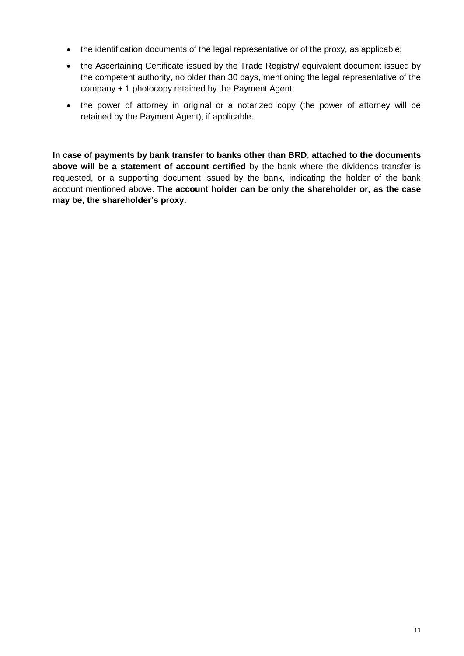- the identification documents of the legal representative or of the proxy, as applicable;
- the Ascertaining Certificate issued by the Trade Registry/ equivalent document issued by the competent authority, no older than 30 days, mentioning the legal representative of the company + 1 photocopy retained by the Payment Agent;
- the power of attorney in original or a notarized copy (the power of attorney will be retained by the Payment Agent), if applicable.

**In case of payments by bank transfer to banks other than BRD**, **attached to the documents above will be a statement of account certified** by the bank where the dividends transfer is requested, or a supporting document issued by the bank, indicating the holder of the bank account mentioned above. **The account holder can be only the shareholder or, as the case may be, the shareholder's proxy.**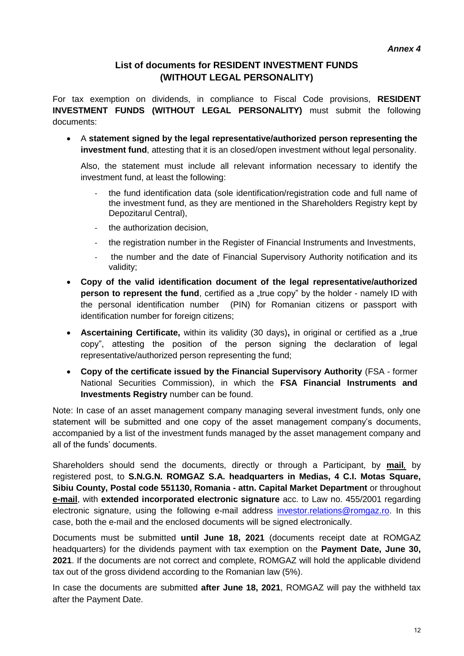# **List of documents for RESIDENT INVESTMENT FUNDS (WITHOUT LEGAL PERSONALITY)**

For tax exemption on dividends, in compliance to Fiscal Code provisions, **RESIDENT INVESTMENT FUNDS (WITHOUT LEGAL PERSONALITY)** must submit the following documents:

 A **statement signed by the legal representative/authorized person representing the investment fund**, attesting that it is an closed/open investment without legal personality.

Also, the statement must include all relevant information necessary to identify the investment fund, at least the following:

- the fund identification data (sole identification/registration code and full name of the investment fund, as they are mentioned in the Shareholders Registry kept by Depozitarul Central),
- the authorization decision,
- the registration number in the Register of Financial Instruments and Investments,
- the number and the date of Financial Supervisory Authority notification and its validity;
- **Copy of the valid identification document of the legal representative/authorized person to represent the fund**, certified as a "true copy" by the holder - namely ID with the personal identification number (PIN) for Romanian citizens or passport with identification number for foreign citizens;
- Ascertaining Certificate, within its validity (30 days), in original or certified as a "true copy", attesting the position of the person signing the declaration of legal representative/authorized person representing the fund;
- **Copy of the certificate issued by the Financial Supervisory Authority** (FSA former National Securities Commission), in which the **FSA Financial Instruments and Investments Registry** number can be found.

Note: In case of an asset management company managing several investment funds, only one statement will be submitted and one copy of the asset management company's documents, accompanied by a list of the investment funds managed by the asset management company and all of the funds' documents.

Shareholders should send the documents, directly or through a Participant, by **mail***,* by registered post, to **S.N.G.N. ROMGAZ S.A. headquarters in Medias, 4 C.I. Motas Square, Sibiu County, Postal code 551130, Romania - attn. Capital Market Department** or throughout **e-mail**, with **extended incorporated electronic signature** acc. to Law no. 455/2001 regarding electronic signature, using the following e-mail address [investor.relations@romgaz.ro.](mailto:investor.relations@romgaz.ro) In this case, both the e-mail and the enclosed documents will be signed electronically.

Documents must be submitted **until June 18, 2021** (documents receipt date at ROMGAZ headquarters) for the dividends payment with tax exemption on the **Payment Date, June 30, 2021**. If the documents are not correct and complete, ROMGAZ will hold the applicable dividend tax out of the gross dividend according to the Romanian law (5%).

In case the documents are submitted **after June 18, 2021**, ROMGAZ will pay the withheld tax after the Payment Date.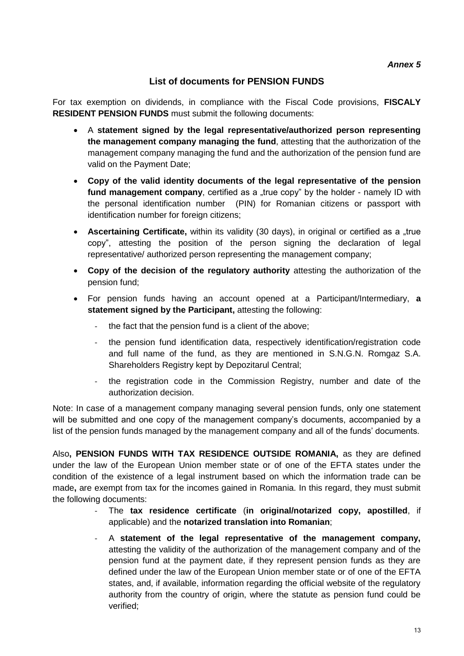# **List of documents for PENSION FUNDS**

For tax exemption on dividends, in compliance with the Fiscal Code provisions, **FISCALY RESIDENT PENSION FUNDS** must submit the following documents:

- A **statement signed by the legal representative/authorized person representing the management company managing the fund**, attesting that the authorization of the management company managing the fund and the authorization of the pension fund are valid on the Payment Date;
- **Copy of the valid identity documents of the legal representative of the pension**  fund management company, certified as a "true copy" by the holder - namely ID with the personal identification number (PIN) for Romanian citizens or passport with identification number for foreign citizens;
- **Ascertaining Certificate,** within its validity (30 days), in original or certified as a "true copy", attesting the position of the person signing the declaration of legal representative/ authorized person representing the management company;
- **Copy of the decision of the regulatory authority** attesting the authorization of the pension fund;
- For pension funds having an account opened at a Participant/Intermediary, **a statement signed by the Participant,** attesting the following:
	- the fact that the pension fund is a client of the above;
	- the pension fund identification data, respectively identification/registration code and full name of the fund, as they are mentioned in S.N.G.N. Romgaz S.A. Shareholders Registry kept by Depozitarul Central;
	- the registration code in the Commission Registry, number and date of the authorization decision.

Note: In case of a management company managing several pension funds, only one statement will be submitted and one copy of the management company's documents, accompanied by a list of the pension funds managed by the management company and all of the funds' documents.

Also**, PENSION FUNDS WITH TAX RESIDENCE OUTSIDE ROMANIA,** as they are defined under the law of the European Union member state or of one of the EFTA states under the condition of the existence of a legal instrument based on which the information trade can be made**,** are exempt from tax for the incomes gained in Romania. In this regard, they must submit the following documents:

- The **tax residence certificate** (**in original/notarized copy, apostilled**, if applicable) and the **notarized translation into Romanian**;
- A **statement of the legal representative of the management company,** attesting the validity of the authorization of the management company and of the pension fund at the payment date, if they represent pension funds as they are defined under the law of the European Union member state or of one of the EFTA states, and, if available, information regarding the official website of the regulatory authority from the country of origin, where the statute as pension fund could be verified;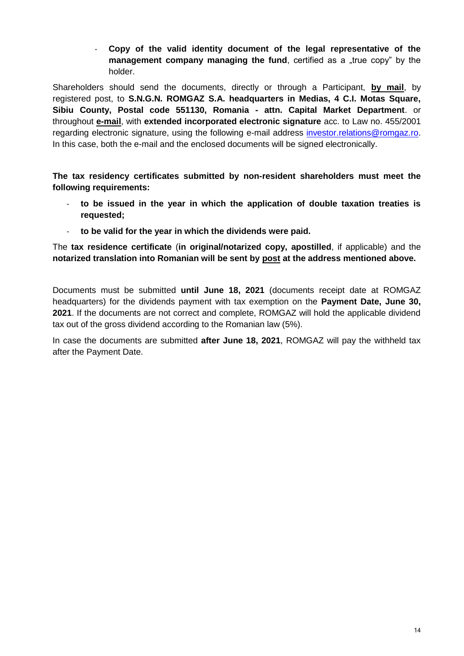- **Copy of the valid identity document of the legal representative of the management company managing the fund**, certified as a "true copy" by the holder.

Shareholders should send the documents, directly or through a Participant, **by mail**, by registered post, to **S.N.G.N. ROMGAZ S.A. headquarters in Medias, 4 C.I. Motas Square, Sibiu County, Postal code 551130, Romania - attn. Capital Market Department**. or throughout **e-mail**, with **extended incorporated electronic signature** acc. to Law no. 455/2001 regarding electronic signature, using the following e-mail address [investor.relations@romgaz.ro.](mailto:investor.relations@romgaz.ro) In this case, both the e-mail and the enclosed documents will be signed electronically.

**The tax residency certificates submitted by non-resident shareholders must meet the following requirements:**

- **to be issued in the year in which the application of double taxation treaties is requested;**
- to be valid for the year in which the dividends were paid.

The **tax residence certificate** (**in original/notarized copy, apostilled**, if applicable) and the **notarized translation into Romanian will be sent by post at the address mentioned above.**

Documents must be submitted **until June 18, 2021** (documents receipt date at ROMGAZ headquarters) for the dividends payment with tax exemption on the **Payment Date, June 30, 2021**. If the documents are not correct and complete, ROMGAZ will hold the applicable dividend tax out of the gross dividend according to the Romanian law (5%).

In case the documents are submitted **after June 18, 2021**, ROMGAZ will pay the withheld tax after the Payment Date.